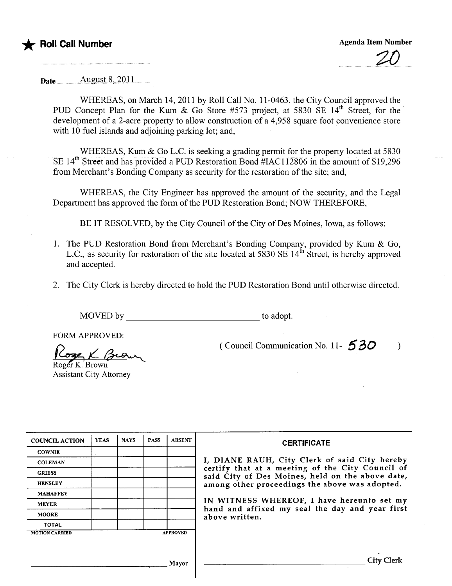



 $\Delta$ ugust 8, 2011

WHEREAS, on March 14, 2011 by Roll Call No. 11-0463, the City Council approved the PUD Concept Plan for the Kum & Go Store #573 project, at 5830 SE 14<sup>th</sup> Street, for the development of a 2-acre property to allow construction of a 4,958 square foot convenience store with 10 fuel islands and adjoining parking lot; and,

WHEREAS, Kum & Go L.C. is seeking a grading permit for the property located at 5830<br>SE 14<sup>th</sup> Street and has provided a PUD Restoration Bond #IAC112806 in the amount of \$19,296 from Merchant's Bonding Company as security for the restoration of the site; and,

WHEREAS, the City Engineer has approved the amount of the security, and the Legal Department has approved the form of the PUD Restoration Bond; NOW THEREFORE,

BE IT RESOLVED, by the City Council of the City of Des Moines, Iowa, as follows:

- 1. The PUD Restoration Bond from Merchant's Bonding Company, provided by Kum & Go, L.C., as security for restoration of the site located at 5830 SE  $14<sup>th</sup>$  Street, is hereby approved and accepted.
- 2. The City Clerk is hereby directed to hold the PUD Restoration Bond until otherwise directed.

MOVED by to adopt.

FORM APPROVED:

Roger K. Brown Rose K Brow

Assistant City Attorney

(Council Communication No. 11- $\overline{530}$ )

| <b>COUNCIL ACTION</b> | <b>YEAS</b> | <b>NAYS</b> | <b>PASS</b> | <b>ABSENT</b>   | <b>CERTIFICATE</b>                                                                                                                                                                                                                                                                                                         |
|-----------------------|-------------|-------------|-------------|-----------------|----------------------------------------------------------------------------------------------------------------------------------------------------------------------------------------------------------------------------------------------------------------------------------------------------------------------------|
| <b>COWNIE</b>         |             |             |             |                 | I, DIANE RAUH, City Clerk of said City hereby<br>certify that at a meeting of the City Council of<br>said City of Des Moines, held on the above date,<br>among other proceedings the above was adopted.<br>IN WITNESS WHEREOF, I have hereunto set my<br>hand and affixed my seal the day and year first<br>above written. |
| <b>COLEMAN</b>        |             |             |             |                 |                                                                                                                                                                                                                                                                                                                            |
| <b>GRIESS</b>         |             |             |             |                 |                                                                                                                                                                                                                                                                                                                            |
| <b>HENSLEY</b>        |             |             |             |                 |                                                                                                                                                                                                                                                                                                                            |
| <b>MAHAFFEY</b>       |             |             |             |                 |                                                                                                                                                                                                                                                                                                                            |
| <b>MEYER</b>          |             |             |             |                 |                                                                                                                                                                                                                                                                                                                            |
| <b>MOORE</b>          |             |             |             |                 |                                                                                                                                                                                                                                                                                                                            |
| <b>TOTAL</b>          |             |             |             |                 |                                                                                                                                                                                                                                                                                                                            |
| <b>MOTION CARRIED</b> |             |             |             | <b>APPROVED</b> |                                                                                                                                                                                                                                                                                                                            |
|                       |             |             |             |                 |                                                                                                                                                                                                                                                                                                                            |
|                       |             |             |             | Mayor           | <b>City Clerk</b>                                                                                                                                                                                                                                                                                                          |